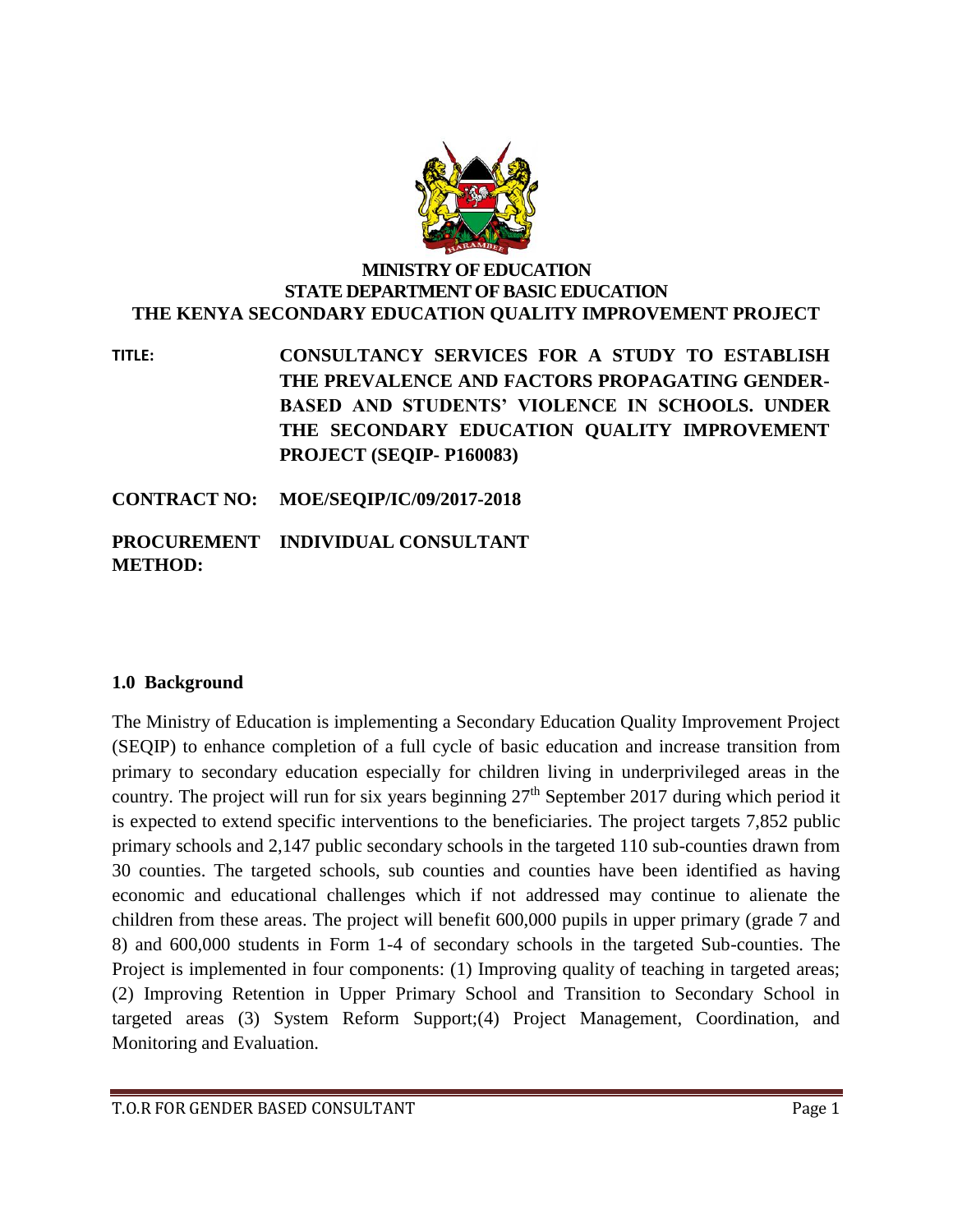

### **MINISTRY OF EDUCATION STATE DEPARTMENT OF BASIC EDUCATION THE KENYA SECONDARY EDUCATION QUALITY IMPROVEMENT PROJECT**

**TITLE: CONSULTANCY SERVICES FOR A STUDY TO ESTABLISH THE PREVALENCE AND FACTORS PROPAGATING GENDER-BASED AND STUDENTS' VIOLENCE IN SCHOOLS. UNDER THE SECONDARY EDUCATION QUALITY IMPROVEMENT PROJECT (SEQIP- P160083)**

**CONTRACT NO: MOE/SEQIP/IC/09/2017-2018**

## **PROCUREMENT INDIVIDUAL CONSULTANT METHOD:**

### **1.0 Background**

The Ministry of Education is implementing a Secondary Education Quality Improvement Project (SEQIP) to enhance completion of a full cycle of basic education and increase transition from primary to secondary education especially for children living in underprivileged areas in the country. The project will run for six years beginning  $27<sup>th</sup>$  September 2017 during which period it is expected to extend specific interventions to the beneficiaries. The project targets 7,852 public primary schools and 2,147 public secondary schools in the targeted 110 sub-counties drawn from 30 counties. The targeted schools, sub counties and counties have been identified as having economic and educational challenges which if not addressed may continue to alienate the children from these areas. The project will benefit 600,000 pupils in upper primary (grade 7 and 8) and 600,000 students in Form 1-4 of secondary schools in the targeted Sub-counties. The Project is implemented in four components: (1) Improving quality of teaching in targeted areas; (2) Improving Retention in Upper Primary School and Transition to Secondary School in targeted areas (3) System Reform Support;(4) Project Management, Coordination, and Monitoring and Evaluation.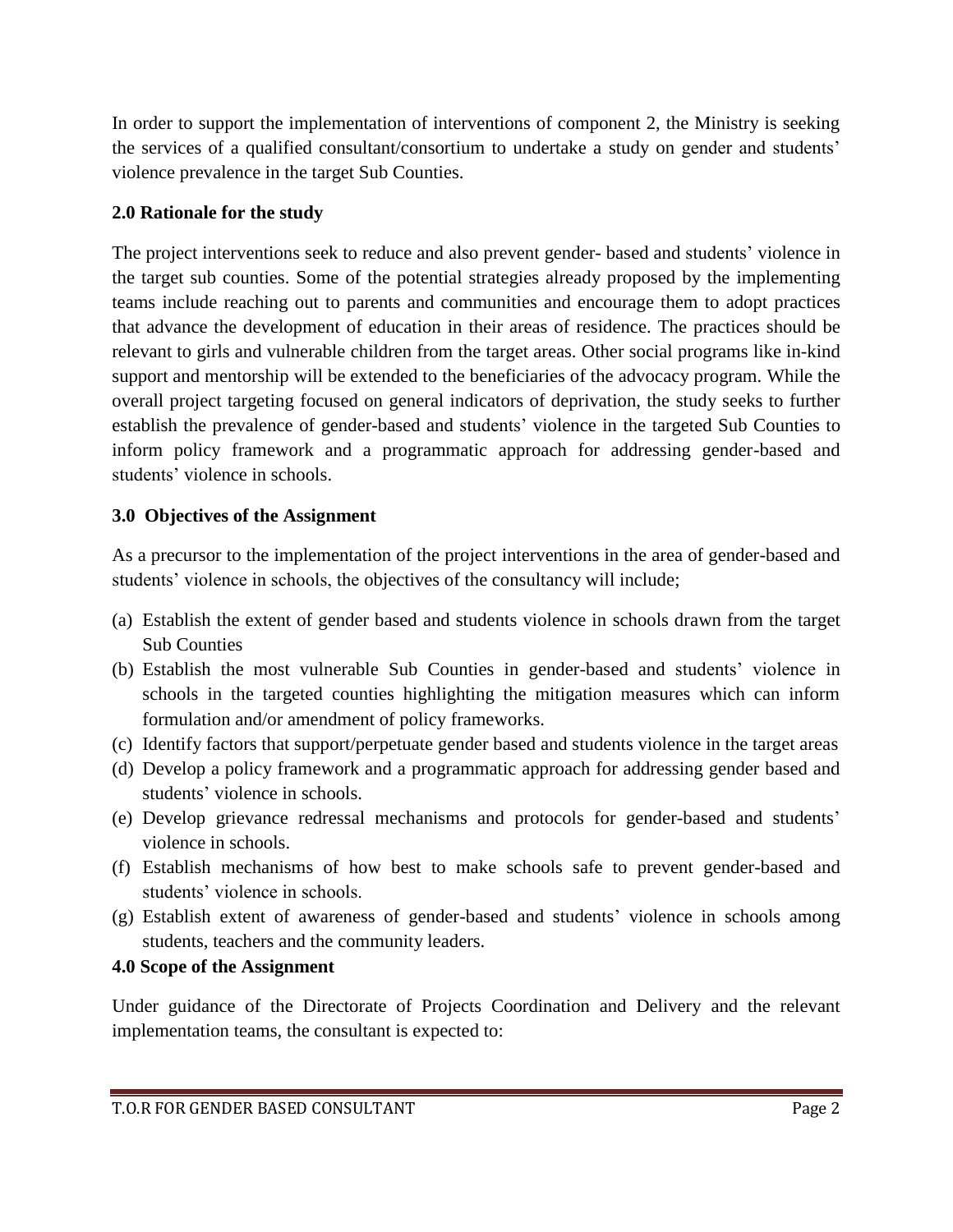In order to support the implementation of interventions of component 2, the Ministry is seeking the services of a qualified consultant/consortium to undertake a study on gender and students' violence prevalence in the target Sub Counties.

# **2.0 Rationale for the study**

The project interventions seek to reduce and also prevent gender- based and students' violence in the target sub counties. Some of the potential strategies already proposed by the implementing teams include reaching out to parents and communities and encourage them to adopt practices that advance the development of education in their areas of residence. The practices should be relevant to girls and vulnerable children from the target areas. Other social programs like in-kind support and mentorship will be extended to the beneficiaries of the advocacy program. While the overall project targeting focused on general indicators of deprivation, the study seeks to further establish the prevalence of gender-based and students' violence in the targeted Sub Counties to inform policy framework and a programmatic approach for addressing gender-based and students' violence in schools.

# **3.0 Objectives of the Assignment**

As a precursor to the implementation of the project interventions in the area of gender-based and students' violence in schools, the objectives of the consultancy will include;

- (a) Establish the extent of gender based and students violence in schools drawn from the target Sub Counties
- (b) Establish the most vulnerable Sub Counties in gender-based and students' violence in schools in the targeted counties highlighting the mitigation measures which can inform formulation and/or amendment of policy frameworks.
- (c) Identify factors that support/perpetuate gender based and students violence in the target areas
- (d) Develop a policy framework and a programmatic approach for addressing gender based and students' violence in schools.
- (e) Develop grievance redressal mechanisms and protocols for gender-based and students' violence in schools.
- (f) Establish mechanisms of how best to make schools safe to prevent gender-based and students' violence in schools.
- (g) Establish extent of awareness of gender-based and students' violence in schools among students, teachers and the community leaders.

# **4.0 Scope of the Assignment**

Under guidance of the Directorate of Projects Coordination and Delivery and the relevant implementation teams, the consultant is expected to: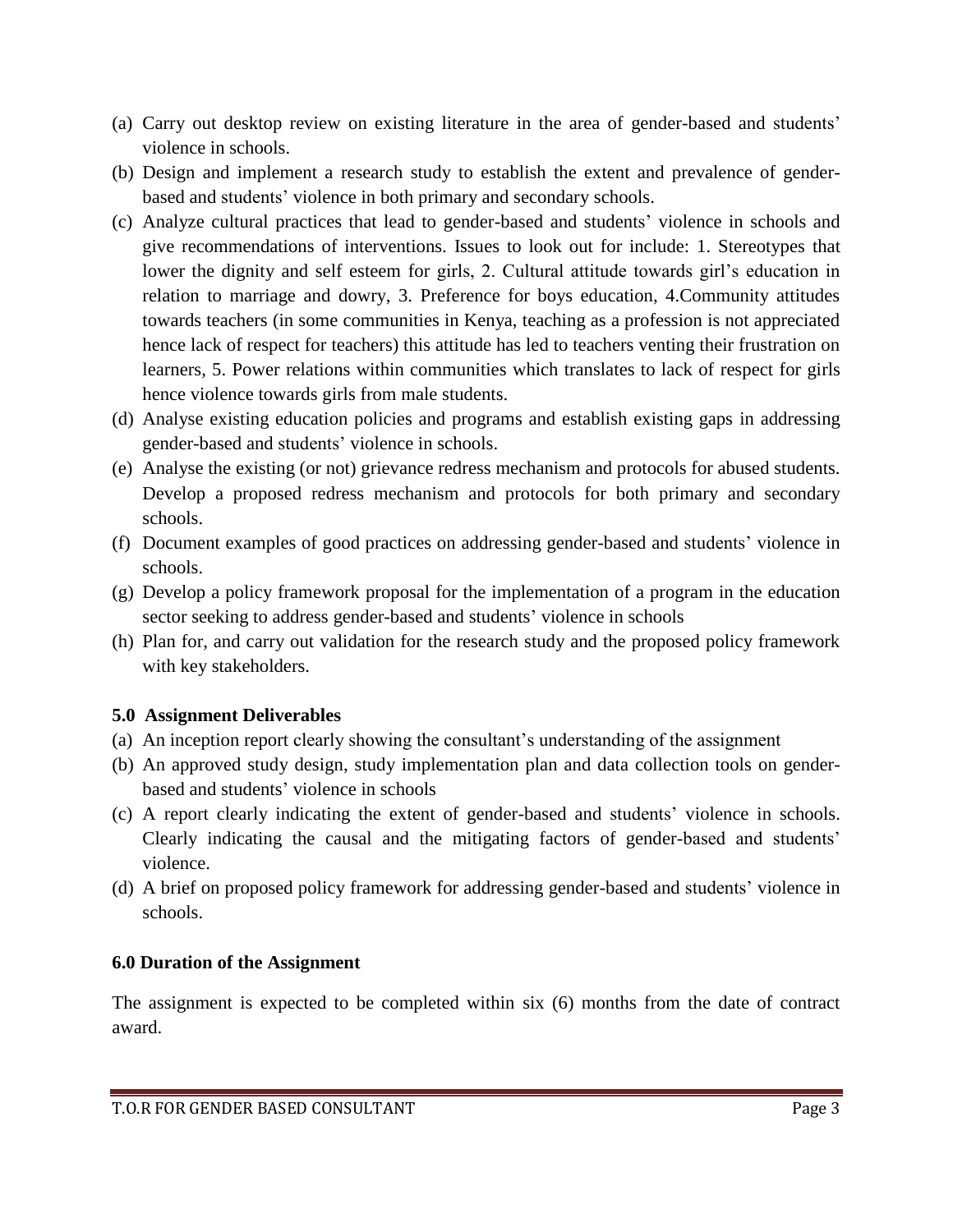- (a) Carry out desktop review on existing literature in the area of gender-based and students' violence in schools.
- (b) Design and implement a research study to establish the extent and prevalence of genderbased and students' violence in both primary and secondary schools.
- (c) Analyze cultural practices that lead to gender-based and students' violence in schools and give recommendations of interventions. Issues to look out for include: 1. Stereotypes that lower the dignity and self esteem for girls, 2. Cultural attitude towards girl's education in relation to marriage and dowry, 3. Preference for boys education, 4.Community attitudes towards teachers (in some communities in Kenya, teaching as a profession is not appreciated hence lack of respect for teachers) this attitude has led to teachers venting their frustration on learners, 5. Power relations within communities which translates to lack of respect for girls hence violence towards girls from male students.
- (d) Analyse existing education policies and programs and establish existing gaps in addressing gender-based and students' violence in schools.
- (e) Analyse the existing (or not) grievance redress mechanism and protocols for abused students. Develop a proposed redress mechanism and protocols for both primary and secondary schools.
- (f) Document examples of good practices on addressing gender-based and students' violence in schools.
- (g) Develop a policy framework proposal for the implementation of a program in the education sector seeking to address gender-based and students' violence in schools
- (h) Plan for, and carry out validation for the research study and the proposed policy framework with key stakeholders.

# **5.0 Assignment Deliverables**

- (a) An inception report clearly showing the consultant's understanding of the assignment
- (b) An approved study design, study implementation plan and data collection tools on genderbased and students' violence in schools
- (c) A report clearly indicating the extent of gender-based and students' violence in schools. Clearly indicating the causal and the mitigating factors of gender-based and students' violence.
- (d) A brief on proposed policy framework for addressing gender-based and students' violence in schools.

# **6.0 Duration of the Assignment**

The assignment is expected to be completed within six (6) months from the date of contract award.